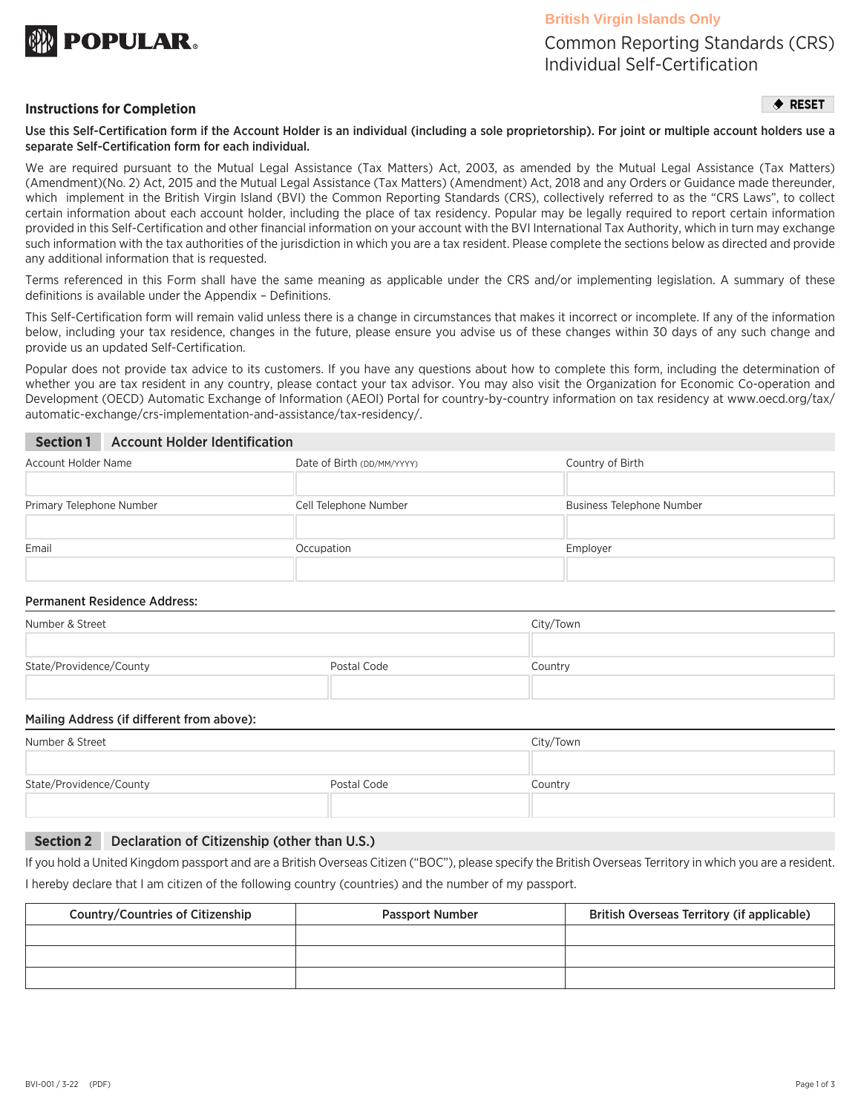

Common Reporting Standards (CRS) Individual Self-Certification

### **Instructions for Completion**

 $\triangle$  RESET

Use this Self-Certification form if the Account Holder is an individual (including a sole proprietorship). For joint or multiple account holders use a separate Self-Certification form for each individual.

We are required pursuant to the Mutual Legal Assistance (Tax Matters) Act, 2003, as amended by the Mutual Legal Assistance (Tax Matters) (Amendment)(No. 2) Act, 2015 and the Mutual Legal Assistance (Tax Matters) (Amendment) Act, 2018 and any Orders or Guidance made thereunder, which implement in the British Virgin Island (BVI) the Common Reporting Standards (CRS), collectively referred to as the "CRS Laws", to collect certain information about each account holder, including the place of tax residency. Popular may be legally required to report certain information provided in this Self-Certification and other financial information on your account with the BVI International Tax Authority, which in turn may exchange such information with the tax authorities of the jurisdiction in which you are a tax resident. Please complete the sections below as directed and provide any additional information that is requested.

Terms referenced in this Form shall have the same meaning as applicable under the CRS and/or implementing legislation. A summary of these definitions is available under the Appendix – Definitions.

This Self-Certification form will remain valid unless there is a change in circumstances that makes it incorrect or incomplete. If any of the information below, including your tax residence, changes in the future, please ensure you advise us of these changes within 30 days of any such change and provide us an updated Self-Certification.

Popular does not provide tax advice to its customers. If you have any questions about how to complete this form, including the determination of whether you are tax resident in any country, please contact your tax advisor. You may also visit the Organization for Economic Co-operation and Development (OECD) Automatic Exchange of Information (AEOI) Portal for country-by-country information on tax residency at www.oecd.org/tax/ automatic-exchange/crs-implementation-and-assistance/tax-residency/.

## **Section 1** Account Holder Identification

| Account Holder Name      | Date of Birth (DD/MM/YYYY) | Country of Birth          |
|--------------------------|----------------------------|---------------------------|
|                          |                            |                           |
| Primary Telephone Number | Cell Telephone Number      | Business Telephone Number |
|                          |                            |                           |
| Email                    | Occupation                 | Employer                  |
|                          |                            |                           |

### Permanent Residence Address:

| Number & Street         |             | City/Town |
|-------------------------|-------------|-----------|
|                         |             |           |
| State/Providence/County | Postal Code | Country   |
|                         |             |           |

### Mailing Address (if different from above):

| Number & Street         |             | City/Town |
|-------------------------|-------------|-----------|
|                         |             |           |
| State/Providence/County | Postal Code | Country   |
|                         |             |           |

#### **Section 2** Declaration of Citizenship (other than U.S.)

If you hold a United Kingdom passport and are a British Overseas Citizen ("BOC"), please specify the British Overseas Territory in which you are a resident. I hereby declare that I am citizen of the following country (countries) and the number of my passport.

| Country/Countries of Citizenship | <b>Passport Number</b> | British Overseas Territory (if applicable) |
|----------------------------------|------------------------|--------------------------------------------|
|                                  |                        |                                            |
|                                  |                        |                                            |
|                                  |                        |                                            |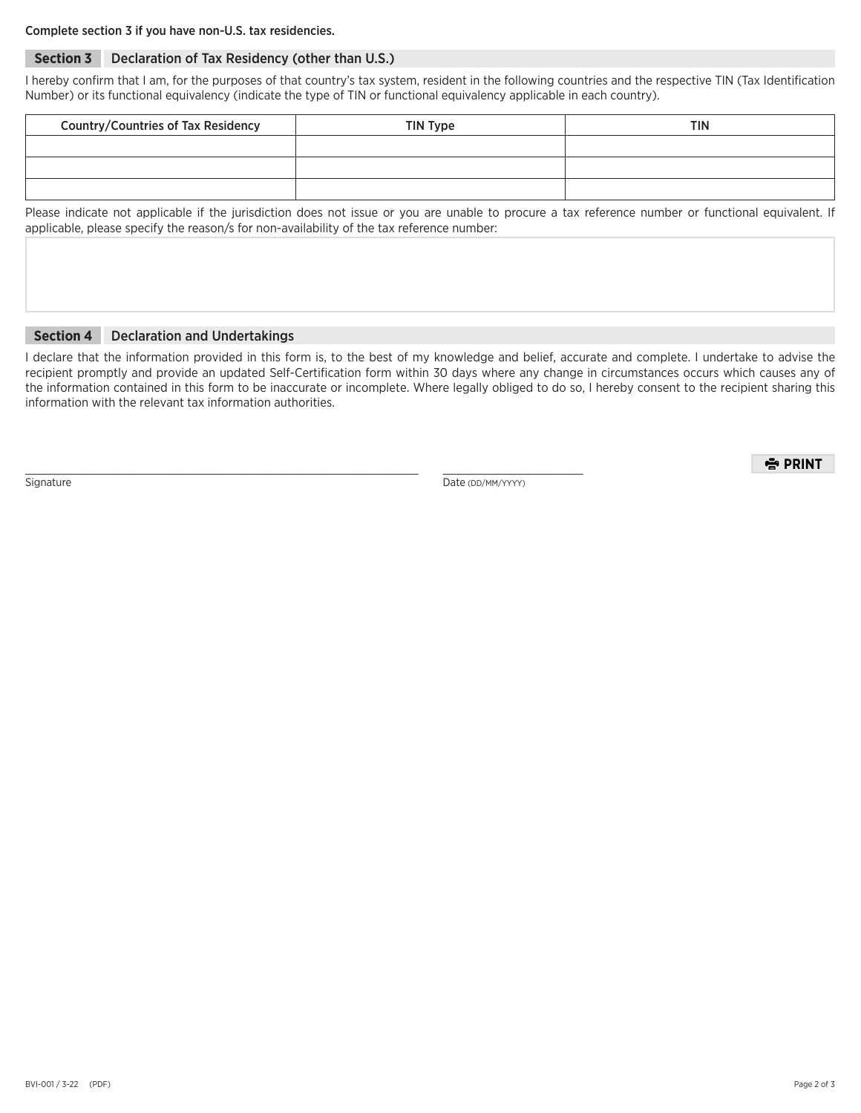## Complete section 3 if you have non-U.S. tax residencies.

# **Section 3** Declaration of Tax Residency (other than U.S.)

I hereby confirm that I am, for the purposes of that country's tax system, resident in the following countries and the respective TIN (Tax Identification Number) or its functional equivalency (indicate the type of TIN or functional equivalency applicable in each country).

| <b>Country/Countries of Tax Residency</b> | TIN Type | <b>TIN</b> |
|-------------------------------------------|----------|------------|
|                                           |          |            |
|                                           |          |            |
|                                           |          |            |

Please indicate not applicable if the jurisdiction does not issue or you are unable to procure a tax reference number or functional equivalent. If applicable, please specify the reason/s for non-availability of the tax reference number:

#### **Section 4** Declaration and Undertakings

I declare that the information provided in this form is, to the best of my knowledge and belief, accurate and complete. I undertake to advise the recipient promptly and provide an updated Self-Certification form within 30 days where any change in circumstances occurs which causes any of the information contained in this form to be inaccurate or incomplete. Where legally obliged to do so, I hereby consent to the recipient sharing this information with the relevant tax information authorities.

\_\_\_\_\_\_\_\_\_\_\_\_\_\_\_\_\_\_\_\_\_\_\_\_\_\_\_\_\_\_\_\_\_\_\_\_\_\_\_\_\_\_\_\_\_\_\_\_\_\_\_\_\_\_\_\_ \_\_\_\_\_\_\_\_\_\_\_\_\_\_\_\_\_\_\_\_

Signature Date (DD/MM/YYYY)

출 PRINT